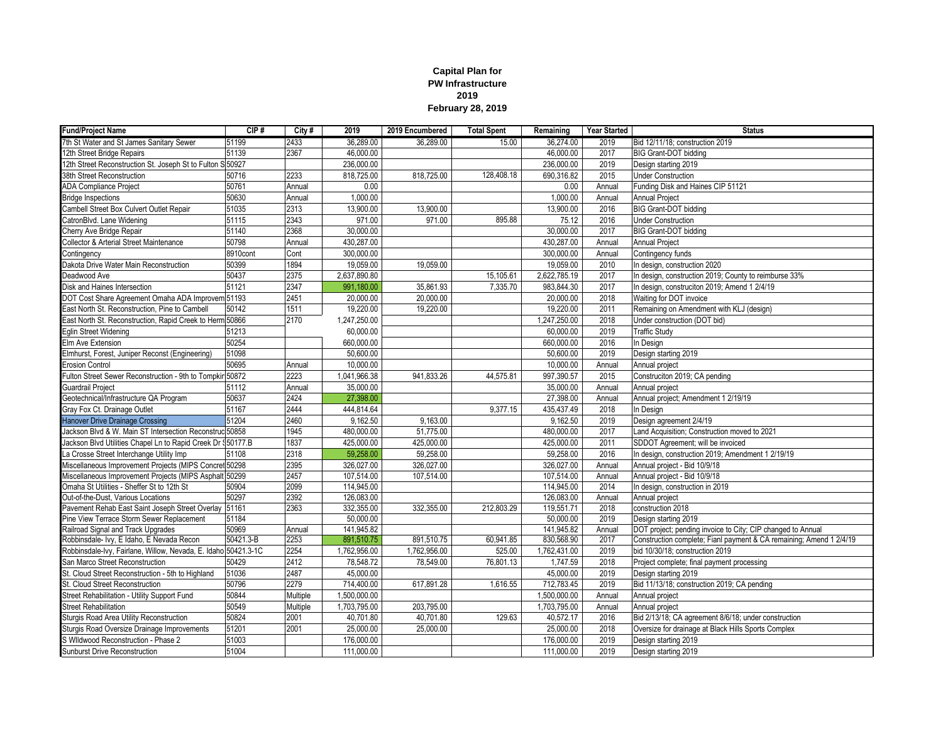## **Capital Plan for PW Infrastructure 2019 February 28, 2019**

| <b>Fund/Project Name</b>                                       | CIP#      | City#    | 2019         | 2019 Encumbered | <b>Total Spent</b> | Remaining    | Year Started | <b>Status</b>                                                       |
|----------------------------------------------------------------|-----------|----------|--------------|-----------------|--------------------|--------------|--------------|---------------------------------------------------------------------|
| 7th St Water and St James Sanitary Sewer                       | 51199     | 2433     | 36.289.00    | 36.289.00       | 15.00              | 36,274.00    | 2019         | Bid 12/11/18: construction 2019                                     |
| 12th Street Bridge Repairs                                     | 51139     | 2367     | 46,000.00    |                 |                    | 46,000.00    | 2017         | <b>BIG Grant-DOT bidding</b>                                        |
| 12th Street Reconstruction St. Joseph St to Fulton S 50927     |           |          | 236,000.00   |                 |                    | 236,000.00   | 2019         | Design starting 2019                                                |
| 38th Street Reconstruction                                     | 50716     | 2233     | 818,725.00   | 818,725.00      | 128,408.18         | 690,316.82   | 2015         | <b>Under Construction</b>                                           |
| <b>ADA Compliance Project</b>                                  | 50761     | Annual   | 0.00         |                 |                    | 0.00         | Annual       | Funding Disk and Haines CIP 51121                                   |
| <b>Bridge Inspections</b>                                      | 50630     | Annual   | 1,000.00     |                 |                    | 1,000.00     | Annual       | Annual Project                                                      |
| Cambell Street Box Culvert Outlet Repair                       | 51035     | 2313     | 13,900.00    | 13,900.00       |                    | 13,900.00    | 2016         | <b>BIG Grant-DOT bidding</b>                                        |
| CatronBlvd. Lane Widening                                      | 51115     | 2343     | 971.00       | 971.00          | 895.88             | 75.12        | 2016         | <b>Under Construction</b>                                           |
| Cherry Ave Bridge Repair                                       | 51140     | 2368     | 30,000.00    |                 |                    | 30,000.00    | 2017         | <b>BIG Grant-DOT bidding</b>                                        |
| Collector & Arterial Street Maintenance                        | 50798     | Annual   | 430,287.00   |                 |                    | 430,287.00   | Annual       | <b>Annual Project</b>                                               |
| Contingency                                                    | 8910cont  | Cont     | 300,000.00   |                 |                    | 300,000.00   | Annual       | Contingency funds                                                   |
| Dakota Drive Water Main Reconstruction                         | 50399     | 1894     | 19,059.00    | 19,059.00       |                    | 19,059.00    | 2010         | In design, construction 2020                                        |
| Deadwood Ave                                                   | 50437     | 2375     | 2,637,890.80 |                 | 15,105.61          | 2,622,785.19 | 2017         | In design, construction 2019; County to reimburse 33%               |
| Disk and Haines Intersection                                   | 51121     | 2347     | 991,180.00   | 35.861.93       | 7.335.70           | 983.844.30   | 2017         | In design, construciton 2019; Amend 1 2/4/19                        |
| DOT Cost Share Agreement Omaha ADA Improvem 51193              |           | 2451     | 20,000.00    | 20,000.00       |                    | 20,000.00    | 2018         | Waiting for DOT invoice                                             |
| East North St. Reconstruction, Pine to Cambell                 | 50142     | 1511     | 19,220.00    | 19,220.00       |                    | 19,220.00    | 2011         | Remaining on Amendment with KLJ (design)                            |
| East North St. Reconstruction, Rapid Creek to Herm 50866       |           | 2170     | 1,247,250.00 |                 |                    | 1,247,250.00 | 2018         | Under construction (DOT bid)                                        |
| <b>Eglin Street Widening</b>                                   | 51213     |          | 60,000.00    |                 |                    | 60,000.00    | 2019         | <b>Traffic Study</b>                                                |
| Elm Ave Extension                                              | 50254     |          | 660,000.00   |                 |                    | 660,000.00   | 2016         | In Design                                                           |
| Elmhurst, Forest, Juniper Reconst (Engineering)                | 51098     |          | 50,600.00    |                 |                    | 50,600.00    | 2019         | Design starting 2019                                                |
| Erosion Control                                                | 50695     | Annual   | 10,000.00    |                 |                    | 10,000.00    | Annual       | Annual project                                                      |
| Fulton Street Sewer Reconstruction - 9th to Tompkin 50872      |           | 2223     | 1,041,966.38 | 941,833.26      | 44,575.81          | 997,390.57   | 2015         | Construciton 2019; CA pending                                       |
| <b>Guardrail Project</b>                                       | 51112     | Annual   | 35,000.00    |                 |                    | 35,000.00    | Annual       | Annual project                                                      |
| Geotechnical/Infrastructure QA Program                         | 50637     | 2424     | 27,398.00    |                 |                    | 27,398.00    | Annual       | Annual project; Amendment 1 2/19/19                                 |
| Gray Fox Ct. Drainage Outlet                                   | 51167     | 2444     | 444.814.64   |                 | 9,377.15           | 435,437.49   | 2018         | In Design                                                           |
| <b>Hanover Drive Drainage Crossing</b>                         | 51204     | 2460     | 9,162.50     | 9,163.00        |                    | 9,162.50     | 2019         | Design agreement 2/4/19                                             |
| Jackson Blvd & W. Main ST Intersection Reconstrud 50858        |           | 1945     | 480,000.00   | 51,775.00       |                    | 480,000.00   | 2017         | Land Acquisition; Construction moved to 2021                        |
| Jackson Blvd Utilities Chapel Ln to Rapid Creek Dr \$50177.B   |           | 1837     | 425,000.00   | 425,000.00      |                    | 425,000.00   | 2011         | SDDOT Agreement; will be invoiced                                   |
| La Crosse Street Interchange Utility Imp                       | 51108     | 2318     | 59,258.00    | 59,258.00       |                    | 59,258.00    | 2016         | In design, construction 2019; Amendment 1 2/19/19                   |
| Miscellaneous Improvement Projects (MIPS Concret 50298         |           | 2395     | 326,027.00   | 326,027.00      |                    | 326,027.00   | Annual       | Annual project - Bid 10/9/18                                        |
| Miscellaneous Improvement Projects (MIPS Asphalt 50299         |           | 2457     | 107,514.00   | 107,514.00      |                    | 107,514.00   | Annual       | Annual project - Bid 10/9/18                                        |
| Omaha St Utilities - Sheffer St to 12th St                     | 50904     | 2099     | 114,945.00   |                 |                    | 114,945.00   | 2014         | In design, construction in 2019                                     |
| Out-of-the-Dust, Various Locations                             | 50297     | 2392     | 126,083.00   |                 |                    | 126,083.00   | Annual       | Annual project                                                      |
| Pavement Rehab East Saint Joseph Street Overlay                | 51161     | 2363     | 332,355.00   | 332,355.00      | 212,803.29         | 119,551.71   | 2018         | construction 2018                                                   |
| Pine View Terrace Storm Sewer Replacement                      | 51184     |          | 50,000.00    |                 |                    | 50,000.00    | 2019         | Design starting 2019                                                |
| Railroad Signal and Track Upgrades                             | 50969     | Annual   | 141.945.82   |                 |                    | 141.945.82   | Annual       | DOT project; pending invoice to City; CIP changed to Annual         |
| Robbinsdale- Ivy, E Idaho, E Nevada Recon                      | 50421.3-B | 2253     | 891,510.75   | 891,510.75      | 60,941.85          | 830,568.90   | 2017         | Construction complete; Fianl payment & CA remaining; Amend 1 2/4/19 |
| Robbinsdale-Ivy, Fairlane, Willow, Nevada, E. Idaho 50421.3-1C |           | 2254     | 1,762,956.00 | 1,762,956.00    | 525.00             | 1,762,431.00 | 2019         | bid 10/30/18; construction 2019                                     |
| San Marco Street Reconstruction                                | 50429     | 2412     | 78,548.72    | 78,549.00       | 76,801.13          | 1,747.59     | 2018         | Project complete; final payment processing                          |
| St. Cloud Street Reconstruction - 5th to Highland              | 51036     | 2487     | 45,000.00    |                 |                    | 45,000.00    | 2019         | Design starting 2019                                                |
| St. Cloud Street Reconstruction                                | 50796     | 2279     | 714,400.00   | 617,891.28      | 1,616.55           | 712,783.45   | 2019         | Bid 11/13/18; construction 2019; CA pending                         |
| Street Rehabilitation - Utility Support Fund                   | 50844     | Multiple | 1,500,000.00 |                 |                    | 1,500,000.00 | Annual       | Annual project                                                      |
| <b>Street Rehabilitation</b>                                   | 50549     | Multiple | 1,703,795.00 | 203,795.00      |                    | 1,703,795.00 | Annual       | Annual project                                                      |
| Sturgis Road Area Utility Reconstruction                       | 50824     | 2001     | 40,701.80    | 40,701.80       | 129.63             | 40,572.17    | 2016         | Bid 2/13/18; CA agreement 8/6/18; under construction                |
| Sturgis Road Oversize Drainage Improvements                    | 51201     | 2001     | 25,000.00    | 25,000.00       |                    | 25,000.00    | 2018         | Oversize for drainage at Black Hills Sports Complex                 |
| S Wildwood Reconstruction - Phase 2                            | 51003     |          | 176,000.00   |                 |                    | 176,000.00   | 2019         | Design starting 2019                                                |
| Sunburst Drive Reconstruction                                  | 51004     |          | 111,000.00   |                 |                    | 111,000.00   | 2019         | Design starting 2019                                                |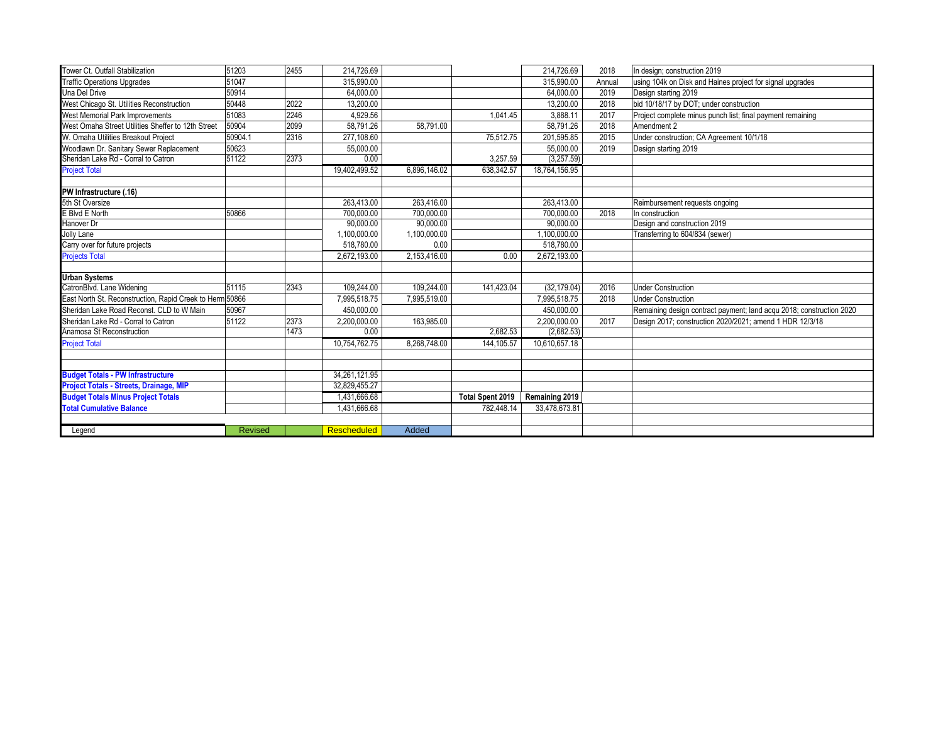| <b>Traffic Operations Upgrades</b><br>using 104k on Disk and Haines project for signal upgrades<br>51047<br>315.990.00<br>315,990.00<br>Annual<br>Una Del Drive<br>50914<br>64.000.00<br>2019<br>64.000.00<br>Design starting 2019<br>West Chicago St. Utilities Reconstruction<br>50448<br>2022<br>bid 10/18/17 by DOT; under construction<br>13,200.00<br>13,200.00<br>2018<br>2246<br>West Memorial Park Improvements<br>51083<br>4.929.56<br>3,888.11<br>2017<br>1,041.45<br>Project complete minus punch list; final payment remaining<br>West Omaha Street Utilities Sheffer to 12th Street<br>2099<br>50904<br>58.791.26<br>58.791.26<br>2018<br>58.791.00<br>Amendment 2<br>W. Omaha Utilities Breakout Project<br>50904.1<br>2316<br>277,108.60<br>201,595.85<br>2015<br>Under construction; CA Agreement 10/1/18<br>75,512.75<br>Woodlawn Dr. Sanitary Sewer Replacement<br>50623<br>55,000.00<br>55.000.00<br>2019<br>Design starting 2019<br>51122<br>2373<br>0.00<br>(3,257.59)<br>Sheridan Lake Rd - Corral to Catron<br>3,257.59<br><b>Project Total</b><br>19,402,499.52<br>6.896.146.02<br>18.764.156.95<br>638,342.57<br>PW Infrastructure (.16)<br>5th St Oversize<br>263.413.00<br>263.416.00<br>263,413.00<br>Reimbursement requests ongoing<br>E Blvd E North<br>700,000.00<br>50866<br>700,000.00<br>700,000.00<br>2018<br>In construction<br>Hanover Dr<br>90,000.00<br>90.000.00<br>90.000.00<br>Design and construction 2019<br>1,100,000.00<br>Jolly Lane<br>1,100,000.00<br>1,100,000.00<br>Transferring to 604/834 (sewer)<br>518,780.00<br>518,780.00<br>0.00<br>Carry over for future projects<br><b>Projects Total</b><br>2,672,193.00<br>2,153,416.00<br>2,672,193.00<br>0.00<br><b>Urban Systems</b><br>CatronBlvd. Lane Widening<br>2343<br>51115<br>109,244.00<br>109,244.00<br>141,423.04<br>(32, 179.04)<br>2016<br><b>Under Construction</b><br>East North St. Reconstruction. Rapid Creek to Herm 50866<br>7,995,518.75<br>7,995,519.00<br>7.995.518.75<br>2018<br><b>Under Construction</b><br>50967<br>450,000.00<br>450,000.00<br>Sheridan Lake Road Reconst. CLD to W Main<br>Remaining design contract payment; land acqu 2018; construction 2020<br>Sheridan Lake Rd - Corral to Catron<br>2373<br>51122<br>2,200,000.00<br>2.200.000.00<br>2017<br>Design 2017; construction 2020/2021; amend 1 HDR 12/3/18<br>163,985.00<br>Anamosa St Reconstruction<br>1473<br>2,682.53<br>(2,682.53)<br>0.00<br><b>Project Total</b><br>10,754,762.75<br>8,268,748.00<br>10,610,657.18<br>144,105.57<br><b>Budget Totals - PW Infrastructure</b><br>34,261,121.95<br>Project Totals - Streets, Drainage, MIP<br>32.829.455.27<br><b>Budget Totals Minus Project Totals</b><br>1,431,666.68<br>Total Spent 2019<br>Remaining 2019<br><b>Total Cumulative Balance</b><br>1,431,666.68<br>33,478,673.81<br>782.448.14<br><b>Rescheduled</b><br>Added<br><b>Revised</b><br>Legend |                                 |       |      |            |  |            |      |                              |
|------------------------------------------------------------------------------------------------------------------------------------------------------------------------------------------------------------------------------------------------------------------------------------------------------------------------------------------------------------------------------------------------------------------------------------------------------------------------------------------------------------------------------------------------------------------------------------------------------------------------------------------------------------------------------------------------------------------------------------------------------------------------------------------------------------------------------------------------------------------------------------------------------------------------------------------------------------------------------------------------------------------------------------------------------------------------------------------------------------------------------------------------------------------------------------------------------------------------------------------------------------------------------------------------------------------------------------------------------------------------------------------------------------------------------------------------------------------------------------------------------------------------------------------------------------------------------------------------------------------------------------------------------------------------------------------------------------------------------------------------------------------------------------------------------------------------------------------------------------------------------------------------------------------------------------------------------------------------------------------------------------------------------------------------------------------------------------------------------------------------------------------------------------------------------------------------------------------------------------------------------------------------------------------------------------------------------------------------------------------------------------------------------------------------------------------------------------------------------------------------------------------------------------------------------------------------------------------------------------------------------------------------------------------------------------------------------------------------------------------------------------------------------------------------------------------------------------------------------------------------------------------------------------------|---------------------------------|-------|------|------------|--|------------|------|------------------------------|
|                                                                                                                                                                                                                                                                                                                                                                                                                                                                                                                                                                                                                                                                                                                                                                                                                                                                                                                                                                                                                                                                                                                                                                                                                                                                                                                                                                                                                                                                                                                                                                                                                                                                                                                                                                                                                                                                                                                                                                                                                                                                                                                                                                                                                                                                                                                                                                                                                                                                                                                                                                                                                                                                                                                                                                                                                                                                                                                  | Tower Ct. Outfall Stabilization | 51203 | 2455 | 214.726.69 |  | 214.726.69 | 2018 | In design; construction 2019 |
|                                                                                                                                                                                                                                                                                                                                                                                                                                                                                                                                                                                                                                                                                                                                                                                                                                                                                                                                                                                                                                                                                                                                                                                                                                                                                                                                                                                                                                                                                                                                                                                                                                                                                                                                                                                                                                                                                                                                                                                                                                                                                                                                                                                                                                                                                                                                                                                                                                                                                                                                                                                                                                                                                                                                                                                                                                                                                                                  |                                 |       |      |            |  |            |      |                              |
|                                                                                                                                                                                                                                                                                                                                                                                                                                                                                                                                                                                                                                                                                                                                                                                                                                                                                                                                                                                                                                                                                                                                                                                                                                                                                                                                                                                                                                                                                                                                                                                                                                                                                                                                                                                                                                                                                                                                                                                                                                                                                                                                                                                                                                                                                                                                                                                                                                                                                                                                                                                                                                                                                                                                                                                                                                                                                                                  |                                 |       |      |            |  |            |      |                              |
|                                                                                                                                                                                                                                                                                                                                                                                                                                                                                                                                                                                                                                                                                                                                                                                                                                                                                                                                                                                                                                                                                                                                                                                                                                                                                                                                                                                                                                                                                                                                                                                                                                                                                                                                                                                                                                                                                                                                                                                                                                                                                                                                                                                                                                                                                                                                                                                                                                                                                                                                                                                                                                                                                                                                                                                                                                                                                                                  |                                 |       |      |            |  |            |      |                              |
|                                                                                                                                                                                                                                                                                                                                                                                                                                                                                                                                                                                                                                                                                                                                                                                                                                                                                                                                                                                                                                                                                                                                                                                                                                                                                                                                                                                                                                                                                                                                                                                                                                                                                                                                                                                                                                                                                                                                                                                                                                                                                                                                                                                                                                                                                                                                                                                                                                                                                                                                                                                                                                                                                                                                                                                                                                                                                                                  |                                 |       |      |            |  |            |      |                              |
|                                                                                                                                                                                                                                                                                                                                                                                                                                                                                                                                                                                                                                                                                                                                                                                                                                                                                                                                                                                                                                                                                                                                                                                                                                                                                                                                                                                                                                                                                                                                                                                                                                                                                                                                                                                                                                                                                                                                                                                                                                                                                                                                                                                                                                                                                                                                                                                                                                                                                                                                                                                                                                                                                                                                                                                                                                                                                                                  |                                 |       |      |            |  |            |      |                              |
|                                                                                                                                                                                                                                                                                                                                                                                                                                                                                                                                                                                                                                                                                                                                                                                                                                                                                                                                                                                                                                                                                                                                                                                                                                                                                                                                                                                                                                                                                                                                                                                                                                                                                                                                                                                                                                                                                                                                                                                                                                                                                                                                                                                                                                                                                                                                                                                                                                                                                                                                                                                                                                                                                                                                                                                                                                                                                                                  |                                 |       |      |            |  |            |      |                              |
|                                                                                                                                                                                                                                                                                                                                                                                                                                                                                                                                                                                                                                                                                                                                                                                                                                                                                                                                                                                                                                                                                                                                                                                                                                                                                                                                                                                                                                                                                                                                                                                                                                                                                                                                                                                                                                                                                                                                                                                                                                                                                                                                                                                                                                                                                                                                                                                                                                                                                                                                                                                                                                                                                                                                                                                                                                                                                                                  |                                 |       |      |            |  |            |      |                              |
|                                                                                                                                                                                                                                                                                                                                                                                                                                                                                                                                                                                                                                                                                                                                                                                                                                                                                                                                                                                                                                                                                                                                                                                                                                                                                                                                                                                                                                                                                                                                                                                                                                                                                                                                                                                                                                                                                                                                                                                                                                                                                                                                                                                                                                                                                                                                                                                                                                                                                                                                                                                                                                                                                                                                                                                                                                                                                                                  |                                 |       |      |            |  |            |      |                              |
|                                                                                                                                                                                                                                                                                                                                                                                                                                                                                                                                                                                                                                                                                                                                                                                                                                                                                                                                                                                                                                                                                                                                                                                                                                                                                                                                                                                                                                                                                                                                                                                                                                                                                                                                                                                                                                                                                                                                                                                                                                                                                                                                                                                                                                                                                                                                                                                                                                                                                                                                                                                                                                                                                                                                                                                                                                                                                                                  |                                 |       |      |            |  |            |      |                              |
|                                                                                                                                                                                                                                                                                                                                                                                                                                                                                                                                                                                                                                                                                                                                                                                                                                                                                                                                                                                                                                                                                                                                                                                                                                                                                                                                                                                                                                                                                                                                                                                                                                                                                                                                                                                                                                                                                                                                                                                                                                                                                                                                                                                                                                                                                                                                                                                                                                                                                                                                                                                                                                                                                                                                                                                                                                                                                                                  |                                 |       |      |            |  |            |      |                              |
|                                                                                                                                                                                                                                                                                                                                                                                                                                                                                                                                                                                                                                                                                                                                                                                                                                                                                                                                                                                                                                                                                                                                                                                                                                                                                                                                                                                                                                                                                                                                                                                                                                                                                                                                                                                                                                                                                                                                                                                                                                                                                                                                                                                                                                                                                                                                                                                                                                                                                                                                                                                                                                                                                                                                                                                                                                                                                                                  |                                 |       |      |            |  |            |      |                              |
|                                                                                                                                                                                                                                                                                                                                                                                                                                                                                                                                                                                                                                                                                                                                                                                                                                                                                                                                                                                                                                                                                                                                                                                                                                                                                                                                                                                                                                                                                                                                                                                                                                                                                                                                                                                                                                                                                                                                                                                                                                                                                                                                                                                                                                                                                                                                                                                                                                                                                                                                                                                                                                                                                                                                                                                                                                                                                                                  |                                 |       |      |            |  |            |      |                              |
|                                                                                                                                                                                                                                                                                                                                                                                                                                                                                                                                                                                                                                                                                                                                                                                                                                                                                                                                                                                                                                                                                                                                                                                                                                                                                                                                                                                                                                                                                                                                                                                                                                                                                                                                                                                                                                                                                                                                                                                                                                                                                                                                                                                                                                                                                                                                                                                                                                                                                                                                                                                                                                                                                                                                                                                                                                                                                                                  |                                 |       |      |            |  |            |      |                              |
|                                                                                                                                                                                                                                                                                                                                                                                                                                                                                                                                                                                                                                                                                                                                                                                                                                                                                                                                                                                                                                                                                                                                                                                                                                                                                                                                                                                                                                                                                                                                                                                                                                                                                                                                                                                                                                                                                                                                                                                                                                                                                                                                                                                                                                                                                                                                                                                                                                                                                                                                                                                                                                                                                                                                                                                                                                                                                                                  |                                 |       |      |            |  |            |      |                              |
|                                                                                                                                                                                                                                                                                                                                                                                                                                                                                                                                                                                                                                                                                                                                                                                                                                                                                                                                                                                                                                                                                                                                                                                                                                                                                                                                                                                                                                                                                                                                                                                                                                                                                                                                                                                                                                                                                                                                                                                                                                                                                                                                                                                                                                                                                                                                                                                                                                                                                                                                                                                                                                                                                                                                                                                                                                                                                                                  |                                 |       |      |            |  |            |      |                              |
|                                                                                                                                                                                                                                                                                                                                                                                                                                                                                                                                                                                                                                                                                                                                                                                                                                                                                                                                                                                                                                                                                                                                                                                                                                                                                                                                                                                                                                                                                                                                                                                                                                                                                                                                                                                                                                                                                                                                                                                                                                                                                                                                                                                                                                                                                                                                                                                                                                                                                                                                                                                                                                                                                                                                                                                                                                                                                                                  |                                 |       |      |            |  |            |      |                              |
|                                                                                                                                                                                                                                                                                                                                                                                                                                                                                                                                                                                                                                                                                                                                                                                                                                                                                                                                                                                                                                                                                                                                                                                                                                                                                                                                                                                                                                                                                                                                                                                                                                                                                                                                                                                                                                                                                                                                                                                                                                                                                                                                                                                                                                                                                                                                                                                                                                                                                                                                                                                                                                                                                                                                                                                                                                                                                                                  |                                 |       |      |            |  |            |      |                              |
|                                                                                                                                                                                                                                                                                                                                                                                                                                                                                                                                                                                                                                                                                                                                                                                                                                                                                                                                                                                                                                                                                                                                                                                                                                                                                                                                                                                                                                                                                                                                                                                                                                                                                                                                                                                                                                                                                                                                                                                                                                                                                                                                                                                                                                                                                                                                                                                                                                                                                                                                                                                                                                                                                                                                                                                                                                                                                                                  |                                 |       |      |            |  |            |      |                              |
|                                                                                                                                                                                                                                                                                                                                                                                                                                                                                                                                                                                                                                                                                                                                                                                                                                                                                                                                                                                                                                                                                                                                                                                                                                                                                                                                                                                                                                                                                                                                                                                                                                                                                                                                                                                                                                                                                                                                                                                                                                                                                                                                                                                                                                                                                                                                                                                                                                                                                                                                                                                                                                                                                                                                                                                                                                                                                                                  |                                 |       |      |            |  |            |      |                              |
|                                                                                                                                                                                                                                                                                                                                                                                                                                                                                                                                                                                                                                                                                                                                                                                                                                                                                                                                                                                                                                                                                                                                                                                                                                                                                                                                                                                                                                                                                                                                                                                                                                                                                                                                                                                                                                                                                                                                                                                                                                                                                                                                                                                                                                                                                                                                                                                                                                                                                                                                                                                                                                                                                                                                                                                                                                                                                                                  |                                 |       |      |            |  |            |      |                              |
|                                                                                                                                                                                                                                                                                                                                                                                                                                                                                                                                                                                                                                                                                                                                                                                                                                                                                                                                                                                                                                                                                                                                                                                                                                                                                                                                                                                                                                                                                                                                                                                                                                                                                                                                                                                                                                                                                                                                                                                                                                                                                                                                                                                                                                                                                                                                                                                                                                                                                                                                                                                                                                                                                                                                                                                                                                                                                                                  |                                 |       |      |            |  |            |      |                              |
|                                                                                                                                                                                                                                                                                                                                                                                                                                                                                                                                                                                                                                                                                                                                                                                                                                                                                                                                                                                                                                                                                                                                                                                                                                                                                                                                                                                                                                                                                                                                                                                                                                                                                                                                                                                                                                                                                                                                                                                                                                                                                                                                                                                                                                                                                                                                                                                                                                                                                                                                                                                                                                                                                                                                                                                                                                                                                                                  |                                 |       |      |            |  |            |      |                              |
|                                                                                                                                                                                                                                                                                                                                                                                                                                                                                                                                                                                                                                                                                                                                                                                                                                                                                                                                                                                                                                                                                                                                                                                                                                                                                                                                                                                                                                                                                                                                                                                                                                                                                                                                                                                                                                                                                                                                                                                                                                                                                                                                                                                                                                                                                                                                                                                                                                                                                                                                                                                                                                                                                                                                                                                                                                                                                                                  |                                 |       |      |            |  |            |      |                              |
|                                                                                                                                                                                                                                                                                                                                                                                                                                                                                                                                                                                                                                                                                                                                                                                                                                                                                                                                                                                                                                                                                                                                                                                                                                                                                                                                                                                                                                                                                                                                                                                                                                                                                                                                                                                                                                                                                                                                                                                                                                                                                                                                                                                                                                                                                                                                                                                                                                                                                                                                                                                                                                                                                                                                                                                                                                                                                                                  |                                 |       |      |            |  |            |      |                              |
|                                                                                                                                                                                                                                                                                                                                                                                                                                                                                                                                                                                                                                                                                                                                                                                                                                                                                                                                                                                                                                                                                                                                                                                                                                                                                                                                                                                                                                                                                                                                                                                                                                                                                                                                                                                                                                                                                                                                                                                                                                                                                                                                                                                                                                                                                                                                                                                                                                                                                                                                                                                                                                                                                                                                                                                                                                                                                                                  |                                 |       |      |            |  |            |      |                              |
|                                                                                                                                                                                                                                                                                                                                                                                                                                                                                                                                                                                                                                                                                                                                                                                                                                                                                                                                                                                                                                                                                                                                                                                                                                                                                                                                                                                                                                                                                                                                                                                                                                                                                                                                                                                                                                                                                                                                                                                                                                                                                                                                                                                                                                                                                                                                                                                                                                                                                                                                                                                                                                                                                                                                                                                                                                                                                                                  |                                 |       |      |            |  |            |      |                              |
|                                                                                                                                                                                                                                                                                                                                                                                                                                                                                                                                                                                                                                                                                                                                                                                                                                                                                                                                                                                                                                                                                                                                                                                                                                                                                                                                                                                                                                                                                                                                                                                                                                                                                                                                                                                                                                                                                                                                                                                                                                                                                                                                                                                                                                                                                                                                                                                                                                                                                                                                                                                                                                                                                                                                                                                                                                                                                                                  |                                 |       |      |            |  |            |      |                              |
|                                                                                                                                                                                                                                                                                                                                                                                                                                                                                                                                                                                                                                                                                                                                                                                                                                                                                                                                                                                                                                                                                                                                                                                                                                                                                                                                                                                                                                                                                                                                                                                                                                                                                                                                                                                                                                                                                                                                                                                                                                                                                                                                                                                                                                                                                                                                                                                                                                                                                                                                                                                                                                                                                                                                                                                                                                                                                                                  |                                 |       |      |            |  |            |      |                              |
|                                                                                                                                                                                                                                                                                                                                                                                                                                                                                                                                                                                                                                                                                                                                                                                                                                                                                                                                                                                                                                                                                                                                                                                                                                                                                                                                                                                                                                                                                                                                                                                                                                                                                                                                                                                                                                                                                                                                                                                                                                                                                                                                                                                                                                                                                                                                                                                                                                                                                                                                                                                                                                                                                                                                                                                                                                                                                                                  |                                 |       |      |            |  |            |      |                              |
|                                                                                                                                                                                                                                                                                                                                                                                                                                                                                                                                                                                                                                                                                                                                                                                                                                                                                                                                                                                                                                                                                                                                                                                                                                                                                                                                                                                                                                                                                                                                                                                                                                                                                                                                                                                                                                                                                                                                                                                                                                                                                                                                                                                                                                                                                                                                                                                                                                                                                                                                                                                                                                                                                                                                                                                                                                                                                                                  |                                 |       |      |            |  |            |      |                              |
|                                                                                                                                                                                                                                                                                                                                                                                                                                                                                                                                                                                                                                                                                                                                                                                                                                                                                                                                                                                                                                                                                                                                                                                                                                                                                                                                                                                                                                                                                                                                                                                                                                                                                                                                                                                                                                                                                                                                                                                                                                                                                                                                                                                                                                                                                                                                                                                                                                                                                                                                                                                                                                                                                                                                                                                                                                                                                                                  |                                 |       |      |            |  |            |      |                              |
|                                                                                                                                                                                                                                                                                                                                                                                                                                                                                                                                                                                                                                                                                                                                                                                                                                                                                                                                                                                                                                                                                                                                                                                                                                                                                                                                                                                                                                                                                                                                                                                                                                                                                                                                                                                                                                                                                                                                                                                                                                                                                                                                                                                                                                                                                                                                                                                                                                                                                                                                                                                                                                                                                                                                                                                                                                                                                                                  |                                 |       |      |            |  |            |      |                              |
|                                                                                                                                                                                                                                                                                                                                                                                                                                                                                                                                                                                                                                                                                                                                                                                                                                                                                                                                                                                                                                                                                                                                                                                                                                                                                                                                                                                                                                                                                                                                                                                                                                                                                                                                                                                                                                                                                                                                                                                                                                                                                                                                                                                                                                                                                                                                                                                                                                                                                                                                                                                                                                                                                                                                                                                                                                                                                                                  |                                 |       |      |            |  |            |      |                              |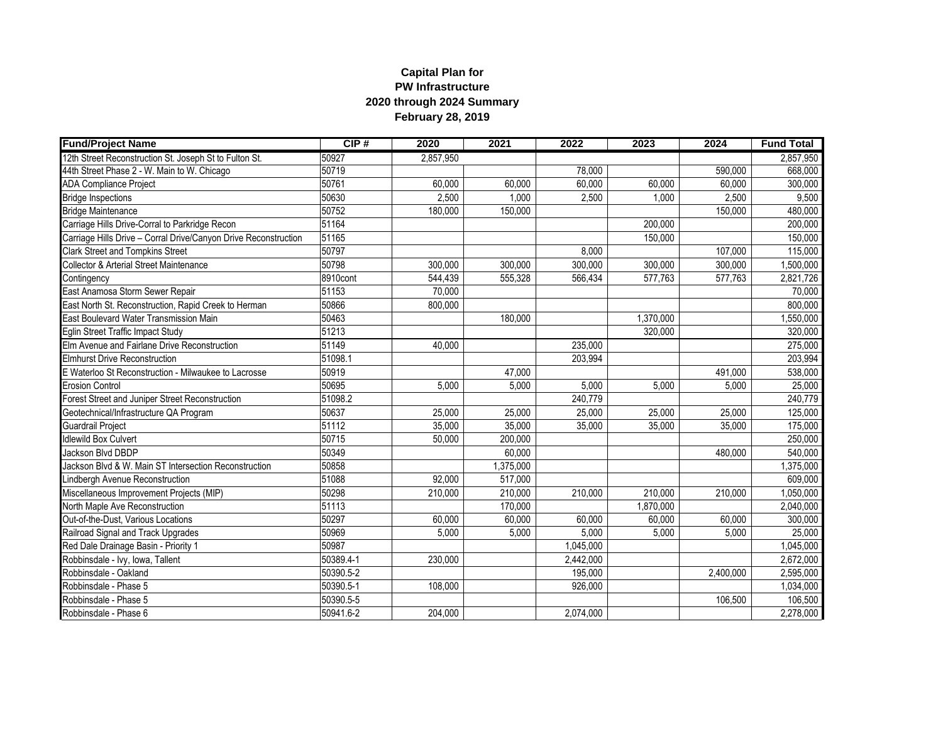## **Capital Plan for PW Infrastructure 2020 through 2024 Summary February 28, 2019**

| <b>Fund/Project Name</b>                                        | CIP#      | 2020      | 2021      | 2022      | 2023      | 2024      | <b>Fund Total</b> |
|-----------------------------------------------------------------|-----------|-----------|-----------|-----------|-----------|-----------|-------------------|
| 12th Street Reconstruction St. Joseph St to Fulton St.          | 50927     | 2,857,950 |           |           |           |           | 2,857,950         |
| 44th Street Phase 2 - W. Main to W. Chicago                     | 50719     |           |           | 78.000    |           | 590.000   | 668,000           |
| <b>ADA Compliance Project</b>                                   | 50761     | 60,000    | 60,000    | 60,000    | 60,000    | 60,000    | 300,000           |
| <b>Bridge Inspections</b>                                       | 50630     | 2,500     | 1,000     | 2,500     | 1,000     | 2,500     | 9,500             |
| <b>Bridge Maintenance</b>                                       | 50752     | 180,000   | 150,000   |           |           | 150,000   | 480,000           |
| Carriage Hills Drive-Corral to Parkridge Recon                  | 51164     |           |           |           | 200,000   |           | 200,000           |
| Carriage Hills Drive - Corral Drive/Canyon Drive Reconstruction | 51165     |           |           |           | 150,000   |           | 150,000           |
| <b>Clark Street and Tompkins Street</b>                         | 50797     |           |           | 8.000     |           | 107,000   | 115,000           |
| <b>Collector &amp; Arterial Street Maintenance</b>              | 50798     | 300,000   | 300,000   | 300,000   | 300,000   | 300,000   | 1,500,000         |
| Contingency                                                     | 8910cont  | 544,439   | 555,328   | 566,434   | 577,763   | 577,763   | 2,821,726         |
| East Anamosa Storm Sewer Repair                                 | 51153     | 70,000    |           |           |           |           | 70,000            |
| East North St. Reconstruction, Rapid Creek to Herman            | 50866     | 800,000   |           |           |           |           | 800,000           |
| East Boulevard Water Transmission Main                          | 50463     |           | 180,000   |           | 1,370,000 |           | 1,550,000         |
| Eglin Street Traffic Impact Study                               | 51213     |           |           |           | 320.000   |           | 320,000           |
| Elm Avenue and Fairlane Drive Reconstruction                    | 51149     | 40,000    |           | 235,000   |           |           | 275,000           |
| Elmhurst Drive Reconstruction                                   | 51098.1   |           |           | 203,994   |           |           | 203,994           |
| E Waterloo St Reconstruction - Milwaukee to Lacrosse            | 50919     |           | 47.000    |           |           | 491,000   | 538,000           |
| <b>Erosion Control</b>                                          | 50695     | 5,000     | 5,000     | 5,000     | 5,000     | 5,000     | 25,000            |
| Forest Street and Juniper Street Reconstruction                 | 51098.2   |           |           | 240,779   |           |           | 240,779           |
| Geotechnical/Infrastructure QA Program                          | 50637     | 25,000    | 25,000    | 25,000    | 25,000    | 25,000    | 125,000           |
| <b>Guardrail Project</b>                                        | 51112     | 35,000    | 35,000    | 35,000    | 35,000    | 35,000    | 175,000           |
| <b>Idlewild Box Culvert</b>                                     | 50715     | 50,000    | 200,000   |           |           |           | 250,000           |
| Jackson Blvd DBDP                                               | 50349     |           | 60,000    |           |           | 480,000   | 540,000           |
| Jackson Blvd & W. Main ST Intersection Reconstruction           | 50858     |           | 1,375,000 |           |           |           | 1,375,000         |
| Lindbergh Avenue Reconstruction                                 | 51088     | 92,000    | 517,000   |           |           |           | 609,000           |
| Miscellaneous Improvement Projects (MIP)                        | 50298     | 210,000   | 210,000   | 210,000   | 210,000   | 210,000   | 1,050,000         |
| North Maple Ave Reconstruction                                  | 51113     |           | 170,000   |           | 1,870,000 |           | 2,040,000         |
| Out-of-the-Dust, Various Locations                              | 50297     | 60,000    | 60,000    | 60,000    | 60,000    | 60,000    | 300,000           |
| Railroad Signal and Track Upgrades                              | 50969     | 5,000     | 5,000     | 5,000     | 5,000     | 5,000     | 25,000            |
| Red Dale Drainage Basin - Priority 1                            | 50987     |           |           | 1,045,000 |           |           | 1,045,000         |
| Robbinsdale - Ivy, Iowa, Tallent                                | 50389.4-1 | 230,000   |           | 2,442,000 |           |           | 2,672,000         |
| Robbinsdale - Oakland                                           | 50390.5-2 |           |           | 195,000   |           | 2,400,000 | 2,595,000         |
| Robbinsdale - Phase 5                                           | 50390.5-1 | 108,000   |           | 926,000   |           |           | 1,034,000         |
| Robbinsdale - Phase 5                                           | 50390.5-5 |           |           |           |           | 106,500   | 106,500           |
| Robbinsdale - Phase 6                                           | 50941.6-2 | 204,000   |           | 2,074,000 |           |           | 2,278,000         |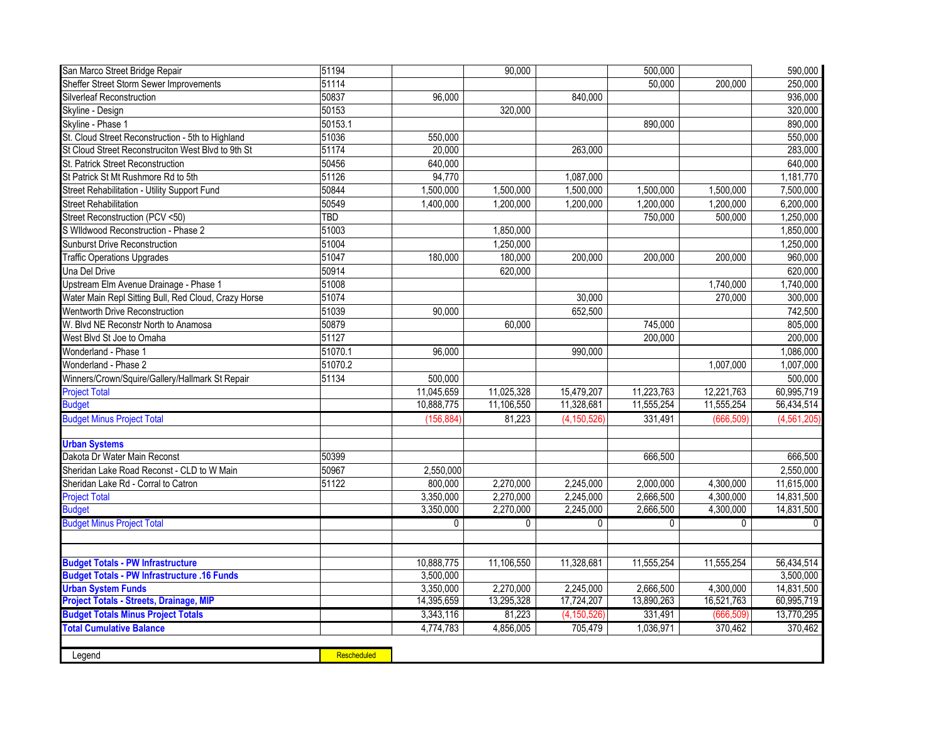| San Marco Street Bridge Repair                       | 51194       |              | 90,000       |               | 500,000      |              | 590,000       |
|------------------------------------------------------|-------------|--------------|--------------|---------------|--------------|--------------|---------------|
| Sheffer Street Storm Sewer Improvements              | 51114       |              |              |               | 50,000       | 200,000      | 250,000       |
| Silverleaf Reconstruction                            | 50837       | 96,000       |              | 840,000       |              |              | 936,000       |
| Skyline - Design                                     | 50153       |              | 320,000      |               |              |              | 320,000       |
| Skyline - Phase 1                                    | 50153.1     |              |              |               | 890,000      |              | 890,000       |
| St. Cloud Street Reconstruction - 5th to Highland    | 51036       | 550.000      |              |               |              |              | 550,000       |
| St Cloud Street Reconstruciton West Blvd to 9th St   | 51174       | 20,000       |              | 263,000       |              |              | 283,000       |
| St. Patrick Street Reconstruction                    | 50456       | 640,000      |              |               |              |              | 640,000       |
| St Patrick St Mt Rushmore Rd to 5th                  | 51126       | 94,770       |              | 1,087,000     |              |              | 1,181,770     |
| Street Rehabilitation - Utility Support Fund         | 50844       | 1,500,000    | 1,500,000    | 1,500,000     | 1,500,000    | 1,500,000    | 7,500,000     |
| <b>Street Rehabilitation</b>                         | 50549       | 1,400,000    | 1,200,000    | 1,200,000     | 1,200,000    | 1,200,000    | 6,200,000     |
| Street Reconstruction (PCV <50)                      | TBD         |              |              |               | 750,000      | 500,000      | 1,250,000     |
| S Wildwood Reconstruction - Phase 2                  | 51003       |              | 1,850,000    |               |              |              | 1,850,000     |
| <b>Sunburst Drive Reconstruction</b>                 | 51004       |              | 1,250,000    |               |              |              | 1,250,000     |
| <b>Traffic Operations Upgrades</b>                   | 51047       | 180,000      | 180,000      | 200.000       | 200.000      | 200.000      | 960,000       |
| Una Del Drive                                        | 50914       |              | 620,000      |               |              |              | 620,000       |
| Upstream Elm Avenue Drainage - Phase 1               | 51008       |              |              |               |              | 1,740,000    | 1,740,000     |
| Water Main Repl Sitting Bull, Red Cloud, Crazy Horse | 51074       |              |              | 30,000        |              | 270,000      | 300,000       |
| Wentworth Drive Reconstruction                       | 51039       | 90.000       |              | 652,500       |              |              | 742,500       |
| W. Blvd NE Reconstr North to Anamosa                 | 50879       |              | 60,000       |               | 745,000      |              | 805,000       |
| West Blvd St Joe to Omaha                            | 51127       |              |              |               | 200,000      |              | 200,000       |
| Wonderland - Phase 1                                 | 51070.1     | 96.000       |              | 990,000       |              |              | 1,086,000     |
| Wonderland - Phase 2                                 | 51070.2     |              |              |               |              | 1,007,000    | 1,007,000     |
| Winners/Crown/Squire/Gallery/Hallmark St Repair      | 51134       | 500,000      |              |               |              |              | 500,000       |
| <b>Project Total</b>                                 |             | 11,045,659   | 11,025,328   | 15,479,207    | 11,223,763   | 12,221,763   | 60,995,719    |
| <b>Budget</b>                                        |             | 10,888,775   | 11,106,550   | 11,328,681    | 11,555,254   | 11,555,254   | 56,434,514    |
| <b>Budget Minus Project Total</b>                    |             | (156, 884)   | 81,223       | (4, 150, 526) | 331,491      | (666, 509)   | (4, 561, 205) |
|                                                      |             |              |              |               |              |              |               |
| <b>Urban Systems</b>                                 |             |              |              |               |              |              |               |
| Dakota Dr Water Main Reconst                         | 50399       |              |              |               | 666,500      |              | 666,500       |
| Sheridan Lake Road Reconst - CLD to W Main           | 50967       | 2,550,000    |              |               |              |              | 2,550,000     |
| Sheridan Lake Rd - Corral to Catron                  | 51122       | 800,000      | 2,270,000    | 2,245,000     | 2,000,000    | 4,300,000    | 11,615,000    |
| <b>Project Total</b>                                 |             | 3,350,000    | 2,270,000    | 2,245,000     | 2,666,500    | 4,300,000    | 14,831,500    |
| <b>Budget</b>                                        |             | 3,350,000    | 2,270,000    | 2,245,000     | 2,666,500    | 4,300,000    | 14,831,500    |
| <b>Budget Minus Project Total</b>                    |             | $\mathbf{0}$ | $\mathbf{0}$ | $\mathbf{0}$  | $\mathbf{0}$ | $\mathbf{0}$ | $\mathsf{O}$  |
|                                                      |             |              |              |               |              |              |               |
| <b>Budget Totals - PW Infrastructure</b>             |             | 10,888,775   | 11,106,550   | 11,328,681    | 11,555,254   | 11,555,254   | 56,434,514    |
| <b>Budget Totals - PW Infrastructure .16 Funds</b>   |             | 3,500,000    |              |               |              |              | 3,500,000     |
| <b>Urban System Funds</b>                            |             | 3,350,000    | 2,270,000    | 2,245,000     | 2,666,500    | 4,300,000    | 14,831,500    |
| <b>Project Totals - Streets, Drainage, MIP</b>       |             | 14,395,659   | 13,295,328   | 17,724,207    | 13,890,263   | 16,521,763   | 60,995,719    |
| <b>Budget Totals Minus Project Totals</b>            |             | 3,343,116    | 81,223       | (4, 150, 526) | 331,491      | (666, 509)   | 13,770,295    |
| <b>Total Cumulative Balance</b>                      |             | 4,774,783    | 4,856,005    | 705,479       | 1,036,971    | 370,462      | 370,462       |
|                                                      |             |              |              |               |              |              |               |
| Legend                                               | Rescheduled |              |              |               |              |              |               |